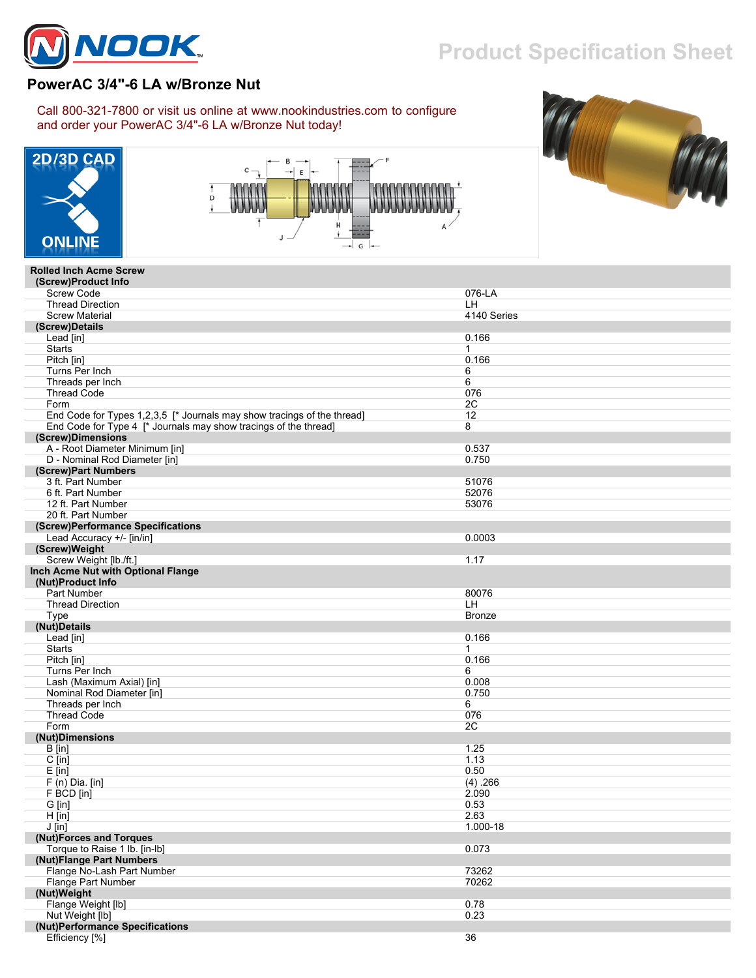

## **Product Specification Sheet**

## **PowerAC 3/4"-6 LA w/Bronze Nut**

Call 800-321-7800 or visit us online at www.nookindustries.com to configure and order your PowerAC 3/4"-6 LA w/Bronze Nut today!







## **Rolled Inch Acme Screw (Screw)Product Info** Screw Code 076-LA<br>Screw Code 076-LA

| <b>Thread Direction</b>                                                 | LH                |
|-------------------------------------------------------------------------|-------------------|
| <b>Screw Material</b>                                                   | 4140 Series       |
| (Screw)Details                                                          |                   |
| Lead [in]                                                               | 0.166             |
| <b>Starts</b>                                                           | 1                 |
| Pitch [in]                                                              | 0.166             |
| Turns Per Inch                                                          | 6                 |
| Threads per Inch                                                        | 6                 |
|                                                                         |                   |
| <b>Thread Code</b>                                                      | 076               |
| Form                                                                    | 2C                |
| End Code for Types 1,2,3,5 [* Journals may show tracings of the thread] | $12 \overline{ }$ |
| End Code for Type 4 [* Journals may show tracings of the thread]        | 8                 |
| (Screw)Dimensions                                                       |                   |
| A - Root Diameter Minimum [in]                                          | 0.537             |
| D - Nominal Rod Diameter [in]                                           | 0.750             |
| (Screw)Part Numbers                                                     |                   |
|                                                                         |                   |
| 3 ft. Part Number                                                       | 51076             |
| 6 ft. Part Number                                                       | 52076             |
| 12 ft. Part Number                                                      | 53076             |
| 20 ft. Part Number                                                      |                   |
| (Screw)Performance Specifications                                       |                   |
| Lead Accuracy +/- [in/in]                                               | 0.0003            |
| (Screw)Weight                                                           |                   |
| Screw Weight [lb./ft.]                                                  | 1.17              |
|                                                                         |                   |
| Inch Acme Nut with Optional Flange                                      |                   |
| (Nut)Product Info                                                       |                   |
| Part Number                                                             | 80076             |
| <b>Thread Direction</b>                                                 | LH                |
| Type                                                                    | <b>Bronze</b>     |
| (Nut)Details                                                            |                   |
| Lead [in]                                                               | 0.166             |
| <b>Starts</b>                                                           | $\mathbf 1$       |
| Pitch [in]                                                              | 0.166             |
|                                                                         |                   |
| Turns Per Inch                                                          | 6                 |
| Lash (Maximum Axial) [in]                                               | 0.008             |
| Nominal Rod Diameter [in]                                               | 0.750             |
| Threads per Inch                                                        | 6                 |
| <b>Thread Code</b>                                                      | 076               |
| Form                                                                    | 2C                |
| (Nut)Dimensions                                                         |                   |
| $B$ [in]                                                                | 1.25              |
| $C$ [in]                                                                | 1.13              |
|                                                                         |                   |
| $E$ [in]                                                                | 0.50              |
| $F(n)$ Dia. [in]                                                        | (4) .266          |
| F BCD [in]                                                              | 2.090             |
| G [in]                                                                  | 0.53              |
| $H$ [in]                                                                | 2.63              |
| J [in]                                                                  | 1.000-18          |
| (Nut)Forces and Torques                                                 |                   |
| Torque to Raise 1 lb. [in-lb]                                           | 0.073             |
| (Nut)Flange Part Numbers                                                |                   |
|                                                                         |                   |
| Flange No-Lash Part Number                                              | 73262             |
| Flange Part Number                                                      | 70262             |
| (Nut)Weight                                                             |                   |
| Flange Weight [lb]                                                      | 0.78              |
| Nut Weight [lb]                                                         | 0.23              |
| (Nut)Performance Specifications                                         |                   |
| Efficiency [%]                                                          | 36                |
|                                                                         |                   |